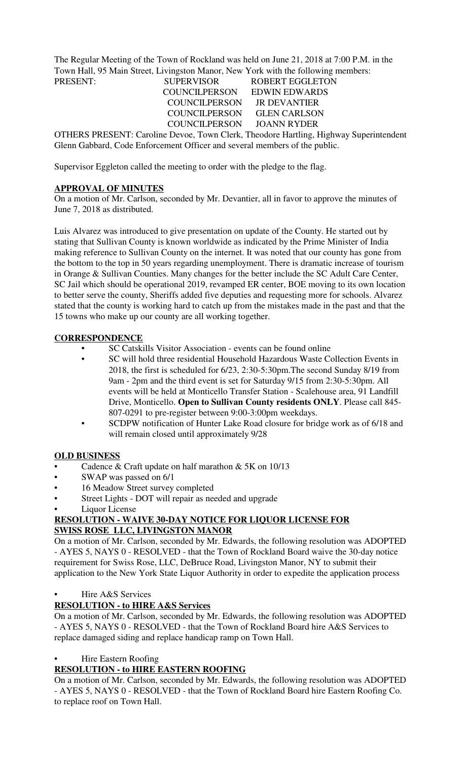The Regular Meeting of the Town of Rockland was held on June 21, 2018 at 7:00 P.M. in the Town Hall, 95 Main Street, Livingston Manor, New York with the following members: PRESENT: SUPERVISOR ROBERT EGGLETON

COUNCILPERSON COUNCILPERSON JOANN RYDER

COUNCILPERSON EDWIN EDWARDS<br>COUNCILPERSON JR DEVANTIER COUNCILPERSON GLEN CARLSON

OTHERS PRESENT: Caroline Devoe, Town Clerk, Theodore Hartling, Highway Superintendent Glenn Gabbard, Code Enforcement Officer and several members of the public.

Supervisor Eggleton called the meeting to order with the pledge to the flag.

## **APPROVAL OF MINUTES**

On a motion of Mr. Carlson, seconded by Mr. Devantier, all in favor to approve the minutes of June 7, 2018 as distributed.

Luis Alvarez was introduced to give presentation on update of the County. He started out by stating that Sullivan County is known worldwide as indicated by the Prime Minister of India making reference to Sullivan County on the internet. It was noted that our county has gone from the bottom to the top in 50 years regarding unemployment. There is dramatic increase of tourism in Orange & Sullivan Counties. Many changes for the better include the SC Adult Care Center, SC Jail which should be operational 2019, revamped ER center, BOE moving to its own location to better serve the county, Sheriffs added five deputies and requesting more for schools. Alvarez stated that the county is working hard to catch up from the mistakes made in the past and that the 15 towns who make up our county are all working together.

# **CORRESPONDENCE**

- SC Catskills Visitor Association events can be found online
- SC will hold three residential Household Hazardous Waste Collection Events in 2018, the first is scheduled for 6/23, 2:30-5:30pm.The second Sunday 8/19 from 9am - 2pm and the third event is set for Saturday 9/15 from 2:30-5:30pm. All events will be held at Monticello Transfer Station - Scalehouse area, 91 Landfill Drive, Monticello. **Open to Sullivan County residents ONLY**. Please call 845- 807-0291 to pre-register between 9:00-3:00pm weekdays.
- SCDPW notification of Hunter Lake Road closure for bridge work as of 6/18 and will remain closed until approximately 9/28

### **OLD BUSINESS**

- Cadence & Craft update on half marathon & 5K on 10/13
- SWAP was passed on 6/1
- 16 Meadow Street survey completed
- Street Lights DOT will repair as needed and upgrade
- Liquor License

### **RESOLUTION - WAIVE 30-DAY NOTICE FOR LIQUOR LICENSE FOR SWISS ROSE LLC, LIVINGSTON MANOR**

On a motion of Mr. Carlson, seconded by Mr. Edwards, the following resolution was ADOPTED - AYES 5, NAYS 0 - RESOLVED - that the Town of Rockland Board waive the 30-day notice requirement for Swiss Rose, LLC, DeBruce Road, Livingston Manor, NY to submit their application to the New York State Liquor Authority in order to expedite the application process

### • Hire A&S Services

# **RESOLUTION - to HIRE A&S Services**

On a motion of Mr. Carlson, seconded by Mr. Edwards, the following resolution was ADOPTED - AYES 5, NAYS 0 - RESOLVED - that the Town of Rockland Board hire A&S Services to replace damaged siding and replace handicap ramp on Town Hall.

### • Hire Eastern Roofing

# **RESOLUTION - to HIRE EASTERN ROOFING**

On a motion of Mr. Carlson, seconded by Mr. Edwards, the following resolution was ADOPTED - AYES 5, NAYS 0 - RESOLVED - that the Town of Rockland Board hire Eastern Roofing Co. to replace roof on Town Hall.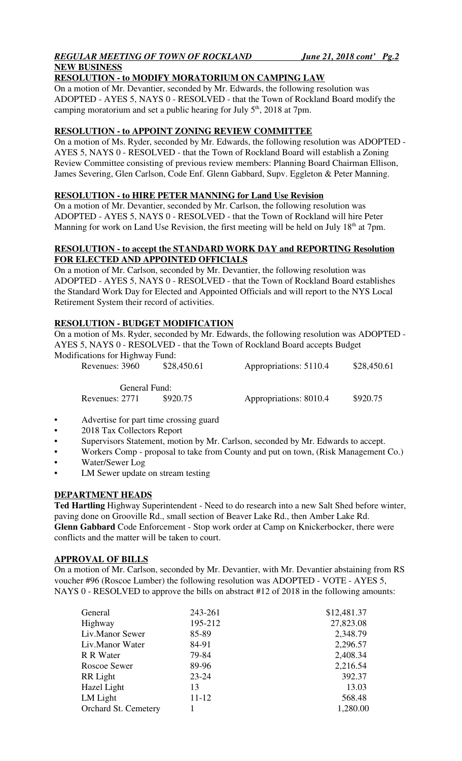### *REGULAR MEETING OF TOWN OF ROCKLAND June 21, 2018 cont' Pg.2* **NEW BUSINESS**

## **RESOLUTION - to MODIFY MORATORIUM ON CAMPING LAW**

On a motion of Mr. Devantier, seconded by Mr. Edwards, the following resolution was ADOPTED - AYES 5, NAYS 0 - RESOLVED - that the Town of Rockland Board modify the camping moratorium and set a public hearing for July  $5<sup>th</sup>$ , 2018 at 7pm.

# **RESOLUTION - to APPOINT ZONING REVIEW COMMITTEE**

On a motion of Ms. Ryder, seconded by Mr. Edwards, the following resolution was ADOPTED - AYES 5, NAYS 0 - RESOLVED - that the Town of Rockland Board will establish a Zoning Review Committee consisting of previous review members: Planning Board Chairman Ellison, James Severing, Glen Carlson, Code Enf. Glenn Gabbard, Supv. Eggleton & Peter Manning.

## **RESOLUTION - to HIRE PETER MANNING for Land Use Revision**

On a motion of Mr. Devantier, seconded by Mr. Carlson, the following resolution was ADOPTED - AYES 5, NAYS 0 - RESOLVED - that the Town of Rockland will hire Peter Manning for work on Land Use Revision, the first meeting will be held on July 18<sup>th</sup> at 7pm.

### **RESOLUTION - to accept the STANDARD WORK DAY and REPORTING Resolution FOR ELECTED AND APPOINTED OFFICIALS**

On a motion of Mr. Carlson, seconded by Mr. Devantier, the following resolution was ADOPTED - AYES 5, NAYS 0 - RESOLVED - that the Town of Rockland Board establishes the Standard Work Day for Elected and Appointed Officials and will report to the NYS Local Retirement System their record of activities.

# **RESOLUTION - BUDGET MODIFICATION**

On a motion of Ms. Ryder, seconded by Mr. Edwards, the following resolution was ADOPTED - AYES 5, NAYS 0 - RESOLVED - that the Town of Rockland Board accepts Budget Modifications for Highway Fund:

| Revenues: 3960 | \$28,450.61 | Appropriations: 5110.4 | \$28,450.61 |
|----------------|-------------|------------------------|-------------|
| General Fund:  |             |                        |             |
| Revenues: 2771 | \$920.75    | Appropriations: 8010.4 | \$920.75    |

- Advertise for part time crossing guard
- 2018 Tax Collectors Report
- Supervisors Statement, motion by Mr. Carlson, seconded by Mr. Edwards to accept.
- Workers Comp proposal to take from County and put on town, (Risk Management Co.)
- Water/Sewer Log
- LM Sewer update on stream testing

### **DEPARTMENT HEADS**

**Ted Hartling** Highway Superintendent - Need to do research into a new Salt Shed before winter, paving done on Grooville Rd., small section of Beaver Lake Rd., then Amber Lake Rd. **Glenn Gabbard** Code Enforcement - Stop work order at Camp on Knickerbocker, there were conflicts and the matter will be taken to court.

# **APPROVAL OF BILLS**

On a motion of Mr. Carlson, seconded by Mr. Devantier, with Mr. Devantier abstaining from RS voucher #96 (Roscoe Lumber) the following resolution was ADOPTED - VOTE - AYES 5, NAYS 0 - RESOLVED to approve the bills on abstract #12 of 2018 in the following amounts:

| General                     | 243-261   | \$12,481.37 |
|-----------------------------|-----------|-------------|
| Highway                     | 195-212   | 27,823.08   |
| Liv.Manor Sewer             | 85-89     | 2,348.79    |
| Liv.Manor Water             | 84-91     | 2,296.57    |
| R R Water                   | 79-84     | 2,408.34    |
| Roscoe Sewer                | 89-96     | 2,216.54    |
| RR Light                    | $23 - 24$ | 392.37      |
| Hazel Light                 | 13        | 13.03       |
| LM Light                    | 11-12     | 568.48      |
| <b>Orchard St. Cemetery</b> |           | 1,280.00    |